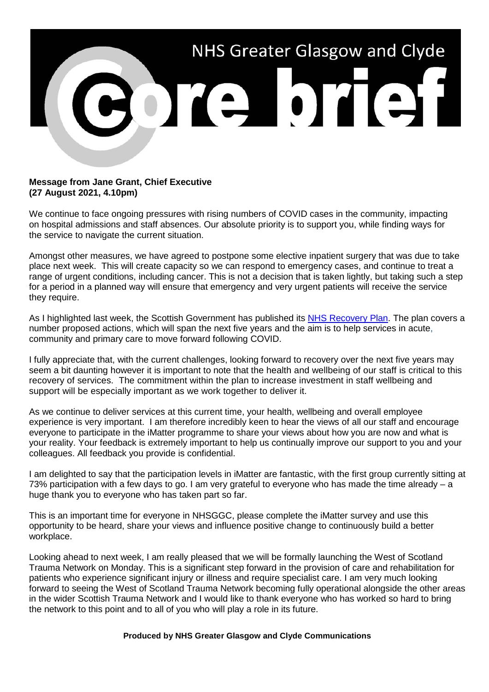

## **Message from Jane Grant, Chief Executive (27 August 2021, 4.10pm)**

We continue to face ongoing pressures with rising numbers of COVID cases in the community, impacting on hospital admissions and staff absences. Our absolute priority is to support you, while finding ways for the service to navigate the current situation.

Amongst other measures, we have agreed to postpone some elective inpatient surgery that was due to take place next week. This will create capacity so we can respond to emergency cases, and continue to treat a range of urgent conditions, including cancer. This is not a decision that is taken lightly, but taking such a step for a period in a planned way will ensure that emergency and very urgent patients will receive the service they require.

As I highlighted last week, the Scottish Government has published its [NHS Recovery Plan.](https://www.gov.scot/publications/nhs-recovery-plan/) The plan covers a number proposed actions, which will span the next five years and the aim is to help services in acute, community and primary care to move forward following COVID.

I fully appreciate that, with the current challenges, looking forward to recovery over the next five years may seem a bit daunting however it is important to note that the health and wellbeing of our staff is critical to this recovery of services. The commitment within the plan to increase investment in staff wellbeing and support will be especially important as we work together to deliver it.

As we continue to deliver services at this current time, your health, wellbeing and overall employee experience is very important. I am therefore incredibly keen to hear the views of all our staff and encourage everyone to participate in the iMatter programme to share your views about how you are now and what is your reality. Your feedback is extremely important to help us continually improve our support to you and your colleagues. All feedback you provide is confidential.

I am delighted to say that the participation levels in iMatter are fantastic, with the first group currently sitting at 73% participation with a few days to go. I am very grateful to everyone who has made the time already – a huge thank you to everyone who has taken part so far.

This is an important time for everyone in NHSGGC, please complete the iMatter survey and use this opportunity to be heard, share your views and influence positive change to continuously build a better workplace.

Looking ahead to next week, I am really pleased that we will be formally launching the West of Scotland Trauma Network on Monday. This is a significant step forward in the provision of care and rehabilitation for patients who experience significant injury or illness and require specialist care. I am very much looking forward to seeing the West of Scotland Trauma Network becoming fully operational alongside the other areas in the wider Scottish Trauma Network and I would like to thank everyone who has worked so hard to bring the network to this point and to all of you who will play a role in its future.

## **Produced by NHS Greater Glasgow and Clyde Communications**